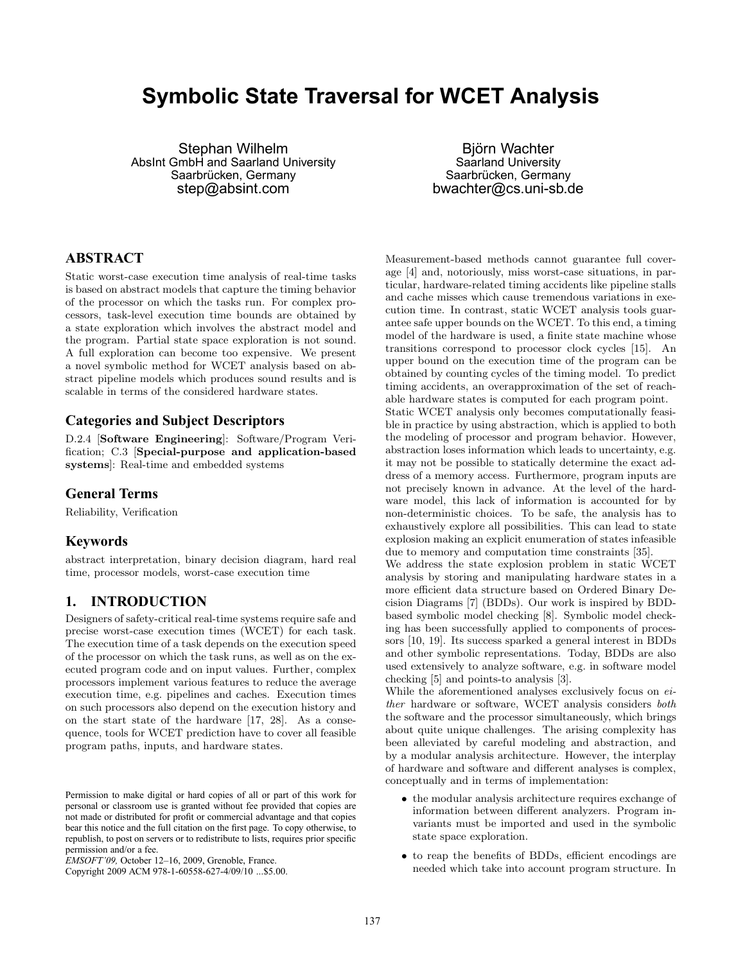# **Symbolic State Traversal for WCET Analysis**

Stephan Wilhelm AbsInt GmbH and Saarland University Saarbrücken, Germany step@absint.com

Björn Wachter Saarland University Saarbrücken, Germany bwachter@cs.uni-sb.de

# **ABSTRACT**

Static worst-case execution time analysis of real-time tasks is based on abstract models that capture the timing behavior of the processor on which the tasks run. For complex processors, task-level execution time bounds are obtained by a state exploration which involves the abstract model and the program. Partial state space exploration is not sound. A full exploration can become too expensive. We present a novel symbolic method for WCET analysis based on abstract pipeline models which produces sound results and is scalable in terms of the considered hardware states.

# **Categories and Subject Descriptors**

D.2.4 [Software Engineering]: Software/Program Verification; C.3 [Special-purpose and application-based systems]: Real-time and embedded systems

# **General Terms**

Reliability, Verification

# **Keywords**

abstract interpretation, binary decision diagram, hard real time, processor models, worst-case execution time

# **1. INTRODUCTION**

Designers of safety-critical real-time systems require safe and precise worst-case execution times (WCET) for each task. The execution time of a task depends on the execution speed of the processor on which the task runs, as well as on the executed program code and on input values. Further, complex processors implement various features to reduce the average execution time, e.g. pipelines and caches. Execution times on such processors also depend on the execution history and on the start state of the hardware [17, 28]. As a consequence, tools for WCET prediction have to cover all feasible program paths, inputs, and hardware states.

Copyright 2009 ACM 978-1-60558-627-4/09/10 ...\$5.00.

Measurement-based methods cannot guarantee full coverage [4] and, notoriously, miss worst-case situations, in particular, hardware-related timing accidents like pipeline stalls and cache misses which cause tremendous variations in execution time. In contrast, static WCET analysis tools guarantee safe upper bounds on the WCET. To this end, a timing model of the hardware is used, a finite state machine whose transitions correspond to processor clock cycles [15]. An upper bound on the execution time of the program can be obtained by counting cycles of the timing model. To predict timing accidents, an overapproximation of the set of reachable hardware states is computed for each program point.

Static WCET analysis only becomes computationally feasible in practice by using abstraction, which is applied to both the modeling of processor and program behavior. However, abstraction loses information which leads to uncertainty, e.g. it may not be possible to statically determine the exact address of a memory access. Furthermore, program inputs are not precisely known in advance. At the level of the hardware model, this lack of information is accounted for by non-deterministic choices. To be safe, the analysis has to exhaustively explore all possibilities. This can lead to state explosion making an explicit enumeration of states infeasible due to memory and computation time constraints [35].

We address the state explosion problem in static WCET analysis by storing and manipulating hardware states in a more efficient data structure based on Ordered Binary Decision Diagrams [7] (BDDs). Our work is inspired by BDDbased symbolic model checking [8]. Symbolic model checking has been successfully applied to components of processors [10, 19]. Its success sparked a general interest in BDDs and other symbolic representations. Today, BDDs are also used extensively to analyze software, e.g. in software model checking [5] and points-to analysis [3].

While the aforementioned analyses exclusively focus on *either* hardware or software, WCET analysis considers *both* the software and the processor simultaneously, which brings about quite unique challenges. The arising complexity has been alleviated by careful modeling and abstraction, and by a modular analysis architecture. However, the interplay of hardware and software and different analyses is complex, conceptually and in terms of implementation:

- the modular analysis architecture requires exchange of information between different analyzers. Program invariants must be imported and used in the symbolic state space exploration.
- to reap the benefits of BDDs, efficient encodings are needed which take into account program structure. In

Permission to make digital or hard copies of all or part of this work for personal or classroom use is granted without fee provided that copies are not made or distributed for profit or commercial advantage and that copies bear this notice and the full citation on the first page. To copy otherwise, to republish, to post on servers or to redistribute to lists, requires prior specific permission and/or a fee.

*EMSOFT'09,* October 12–16, 2009, Grenoble, France.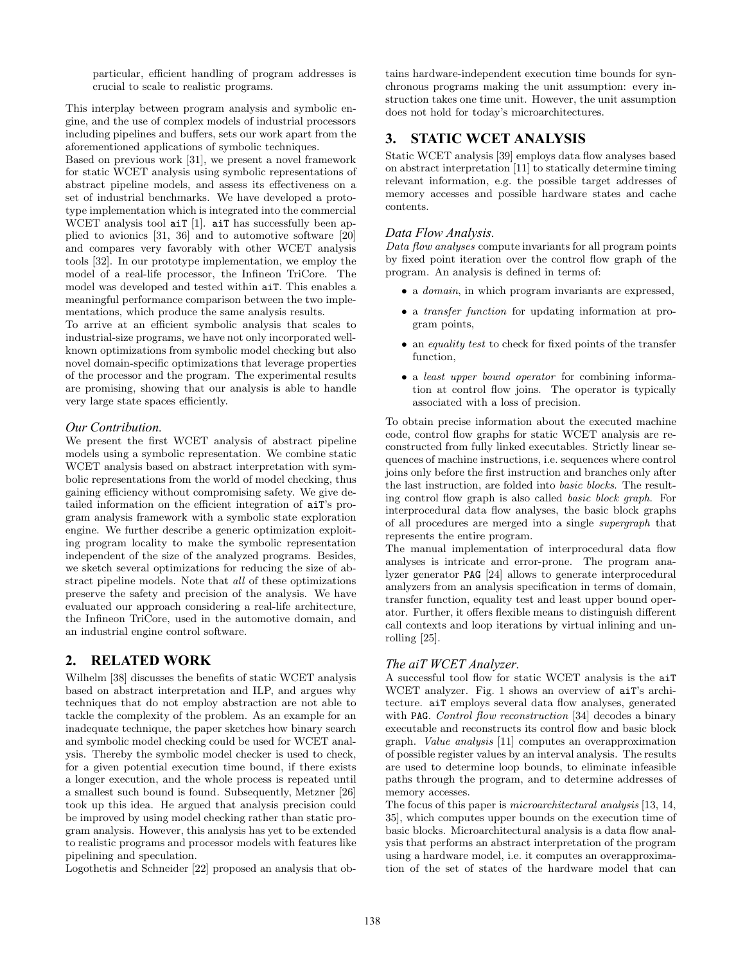particular, efficient handling of program addresses is crucial to scale to realistic programs.

This interplay between program analysis and symbolic engine, and the use of complex models of industrial processors including pipelines and buffers, sets our work apart from the aforementioned applications of symbolic techniques.

Based on previous work [31], we present a novel framework for static WCET analysis using symbolic representations of abstract pipeline models, and assess its effectiveness on a set of industrial benchmarks. We have developed a prototype implementation which is integrated into the commercial WCET analysis tool aiT [1]. aiT has successfully been applied to avionics [31, 36] and to automotive software [20] and compares very favorably with other WCET analysis tools [32]. In our prototype implementation, we employ the model of a real-life processor, the Infineon TriCore. The model was developed and tested within aiT. This enables a meaningful performance comparison between the two implementations, which produce the same analysis results.

To arrive at an efficient symbolic analysis that scales to industrial-size programs, we have not only incorporated wellknown optimizations from symbolic model checking but also novel domain-specific optimizations that leverage properties of the processor and the program. The experimental results are promising, showing that our analysis is able to handle very large state spaces efficiently.

#### *Our Contribution.*

We present the first WCET analysis of abstract pipeline models using a symbolic representation. We combine static WCET analysis based on abstract interpretation with symbolic representations from the world of model checking, thus gaining efficiency without compromising safety. We give detailed information on the efficient integration of aiT's program analysis framework with a symbolic state exploration engine. We further describe a generic optimization exploiting program locality to make the symbolic representation independent of the size of the analyzed programs. Besides, we sketch several optimizations for reducing the size of abstract pipeline models. Note that *all* of these optimizations preserve the safety and precision of the analysis. We have evaluated our approach considering a real-life architecture, the Infineon TriCore, used in the automotive domain, and an industrial engine control software.

# **2. RELATED WORK**

Wilhelm [38] discusses the benefits of static WCET analysis based on abstract interpretation and ILP, and argues why techniques that do not employ abstraction are not able to tackle the complexity of the problem. As an example for an inadequate technique, the paper sketches how binary search and symbolic model checking could be used for WCET analysis. Thereby the symbolic model checker is used to check, for a given potential execution time bound, if there exists a longer execution, and the whole process is repeated until a smallest such bound is found. Subsequently, Metzner [26] took up this idea. He argued that analysis precision could be improved by using model checking rather than static program analysis. However, this analysis has yet to be extended to realistic programs and processor models with features like pipelining and speculation.

Logothetis and Schneider [22] proposed an analysis that ob-

tains hardware-independent execution time bounds for synchronous programs making the unit assumption: every instruction takes one time unit. However, the unit assumption does not hold for today's microarchitectures.

# **3. STATIC WCET ANALYSIS**

Static WCET analysis [39] employs data flow analyses based on abstract interpretation [11] to statically determine timing relevant information, e.g. the possible target addresses of memory accesses and possible hardware states and cache contents.

#### *Data Flow Analysis.*

*Data flow analyses* compute invariants for all program points by fixed point iteration over the control flow graph of the program. An analysis is defined in terms of:

- a *domain*, in which program invariants are expressed,
- a *transfer function* for updating information at program points,
- an *equality test* to check for fixed points of the transfer function,
- a *least upper bound operator* for combining information at control flow joins. The operator is typically associated with a loss of precision.

To obtain precise information about the executed machine code, control flow graphs for static WCET analysis are reconstructed from fully linked executables. Strictly linear sequences of machine instructions, i.e. sequences where control joins only before the first instruction and branches only after the last instruction, are folded into *basic blocks*. The resulting control flow graph is also called *basic block graph*. For interprocedural data flow analyses, the basic block graphs of all procedures are merged into a single *supergraph* that represents the entire program.

The manual implementation of interprocedural data flow analyses is intricate and error-prone. The program analyzer generator PAG [24] allows to generate interprocedural analyzers from an analysis specification in terms of domain, transfer function, equality test and least upper bound operator. Further, it offers flexible means to distinguish different call contexts and loop iterations by virtual inlining and unrolling [25].

### *The aiT WCET Analyzer.*

A successful tool flow for static WCET analysis is the aiT WCET analyzer. Fig. 1 shows an overview of aiT's architecture. aiT employs several data flow analyses, generated with PAG. *Control flow reconstruction* [34] decodes a binary executable and reconstructs its control flow and basic block graph. *Value analysis* [11] computes an overapproximation of possible register values by an interval analysis. The results are used to determine loop bounds, to eliminate infeasible paths through the program, and to determine addresses of memory accesses.

The focus of this paper is *microarchitectural analysis* [13, 14, 35], which computes upper bounds on the execution time of basic blocks. Microarchitectural analysis is a data flow analysis that performs an abstract interpretation of the program using a hardware model, i.e. it computes an overapproximation of the set of states of the hardware model that can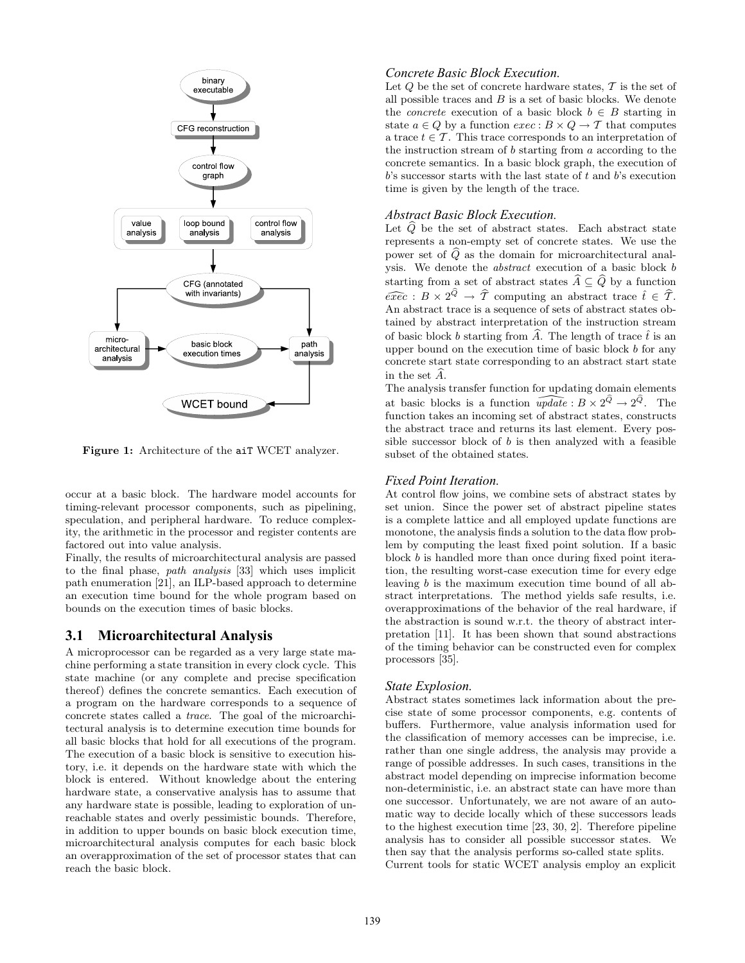

Figure 1: Architecture of the aiT WCET analyzer.

occur at a basic block. The hardware model accounts for timing-relevant processor components, such as pipelining, speculation, and peripheral hardware. To reduce complexity, the arithmetic in the processor and register contents are factored out into value analysis.

Finally, the results of microarchitectural analysis are passed to the final phase, *path analysis* [33] which uses implicit path enumeration [21], an ILP-based approach to determine an execution time bound for the whole program based on bounds on the execution times of basic blocks.

# **3.1 Microarchitectural Analysis**

A microprocessor can be regarded as a very large state machine performing a state transition in every clock cycle. This state machine (or any complete and precise specification thereof) defines the concrete semantics. Each execution of a program on the hardware corresponds to a sequence of concrete states called a *trace*. The goal of the microarchitectural analysis is to determine execution time bounds for all basic blocks that hold for all executions of the program. The execution of a basic block is sensitive to execution history, i.e. it depends on the hardware state with which the block is entered. Without knowledge about the entering hardware state, a conservative analysis has to assume that any hardware state is possible, leading to exploration of unreachable states and overly pessimistic bounds. Therefore, in addition to upper bounds on basic block execution time, microarchitectural analysis computes for each basic block an overapproximation of the set of processor states that can reach the basic block.

#### *Concrete Basic Block Execution.*

Let  $Q$  be the set of concrete hardware states,  $T$  is the set of all possible traces and  $B$  is a set of basic blocks. We denote the *concrete* execution of a basic block  $b \in B$  starting in state  $a \in Q$  by a function  $exec : B \times Q \rightarrow T$  that computes a trace  $t \in \mathcal{T}$ . This trace corresponds to an interpretation of the instruction stream of b starting from a according to the concrete semantics. In a basic block graph, the execution of  $b$ 's successor starts with the last state of  $t$  and  $b$ 's execution time is given by the length of the trace.

### *Abstract Basic Block Execution.*

Let  $\widehat{Q}$  be the set of abstract states. Each abstract state represents a non-empty set of concrete states. We use the power set of  $\widehat{Q}$  as the domain for microarchitectural analysis. We denote the *abstract* execution of a basic block b starting from a set of abstract states  $\widehat{A} \subseteq \widehat{Q}$  by a function  $\widehat{exec} : B \times 2^{\widehat{Q}} \rightarrow \widehat{T}$  computing an abstract trace  $\widehat{t} \in \widehat{T}$ . An abstract trace is a sequence of sets of abstract states obtained by abstract interpretation of the instruction stream of basic block b starting from  $\hat{A}$ . The length of trace  $\hat{t}$  is an upper bound on the execution time of basic block  $b$  for any concrete start state corresponding to an abstract start state in the set  $\widehat{A}$ .

The analysis transfer function for updating domain elements at basic blocks is a function  $\widehat{update} : B \times 2^{\widehat{Q}} \to 2^{\widehat{Q}}$ . The function takes an incoming set of abstract states, constructs the abstract trace and returns its last element. Every possible successor block of  $b$  is then analyzed with a feasible subset of the obtained states.

#### *Fixed Point Iteration.*

At control flow joins, we combine sets of abstract states by set union. Since the power set of abstract pipeline states is a complete lattice and all employed update functions are monotone, the analysis finds a solution to the data flow problem by computing the least fixed point solution. If a basic block b is handled more than once during fixed point iteration, the resulting worst-case execution time for every edge leaving b is the maximum execution time bound of all abstract interpretations. The method yields safe results, i.e. overapproximations of the behavior of the real hardware, if the abstraction is sound w.r.t. the theory of abstract interpretation [11]. It has been shown that sound abstractions of the timing behavior can be constructed even for complex processors [35].

#### *State Explosion.*

Abstract states sometimes lack information about the precise state of some processor components, e.g. contents of buffers. Furthermore, value analysis information used for the classification of memory accesses can be imprecise, i.e. rather than one single address, the analysis may provide a range of possible addresses. In such cases, transitions in the abstract model depending on imprecise information become non-deterministic, i.e. an abstract state can have more than one successor. Unfortunately, we are not aware of an automatic way to decide locally which of these successors leads to the highest execution time [23, 30, 2]. Therefore pipeline analysis has to consider all possible successor states. We then say that the analysis performs so-called state splits. Current tools for static WCET analysis employ an explicit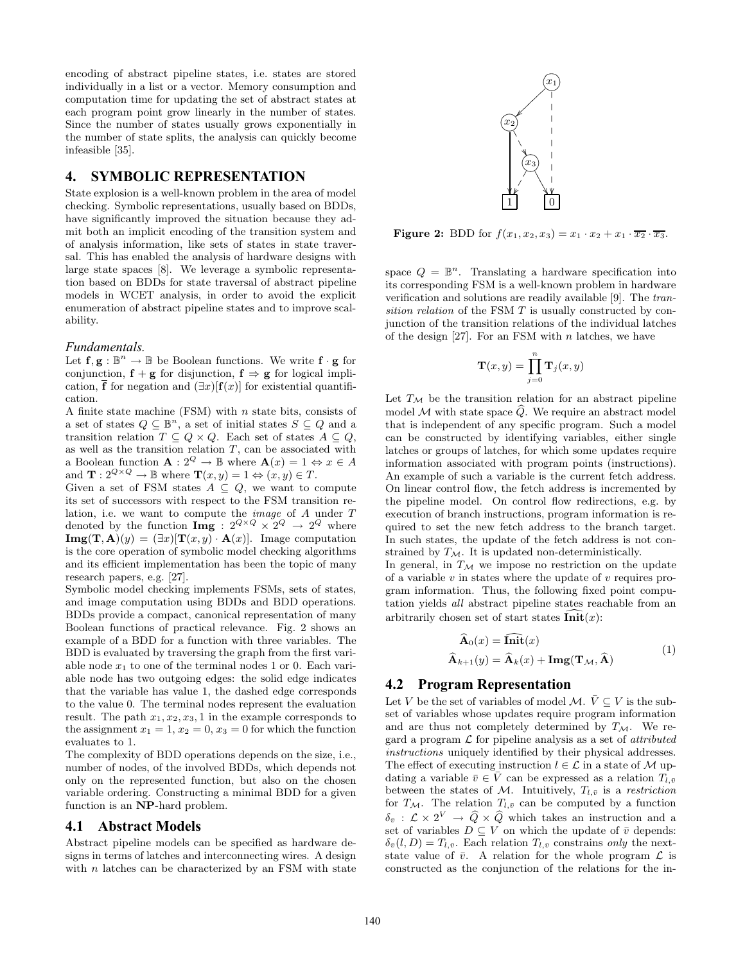encoding of abstract pipeline states, i.e. states are stored individually in a list or a vector. Memory consumption and computation time for updating the set of abstract states at each program point grow linearly in the number of states. Since the number of states usually grows exponentially in the number of state splits, the analysis can quickly become infeasible [35].

# **4. SYMBOLIC REPRESENTATION**

State explosion is a well-known problem in the area of model checking. Symbolic representations, usually based on BDDs, have significantly improved the situation because they admit both an implicit encoding of the transition system and of analysis information, like sets of states in state traversal. This has enabled the analysis of hardware designs with large state spaces [8]. We leverage a symbolic representation based on BDDs for state traversal of abstract pipeline models in WCET analysis, in order to avoid the explicit enumeration of abstract pipeline states and to improve scalability.

#### *Fundamentals.*

Let  $f, g : \mathbb{B}^n \to \mathbb{B}$  be Boolean functions. We write  $f \cdot g$  for conjunction,  $f + g$  for disjunction,  $f \Rightarrow g$  for logical implication,  $\overline{f}$  for negation and  $(\exists x)[f(x)]$  for existential quantification.

A finite state machine  $(FSM)$  with n state bits, consists of a set of states  $Q \subseteq \mathbb{B}^n$ , a set of initial states  $S \subseteq Q$  and a transition relation  $T \subseteq Q \times Q$ . Each set of states  $A \subseteq Q$ , as well as the transition relation  $T$ , can be associated with a Boolean function  $\mathbf{A}: 2^Q \to \mathbb{B}$  where  $\mathbf{A}(x) = 1 \Leftrightarrow x \in A$ and  $\mathbf{T}: 2^{Q \times Q} \to \mathbb{B}$  where  $\mathbf{T}(x, y) = 1 \Leftrightarrow (x, y) \in T$ .

Given a set of FSM states  $A \subseteq Q$ , we want to compute its set of successors with respect to the FSM transition relation, i.e. we want to compute the *image* of A under T denoted by the function  $\text{Img}: 2^{Q \times Q} \times 2^Q \rightarrow 2^Q$  where  $\mathbf{Img}(\mathbf{T}, \mathbf{A})(y) = (\exists x)[\mathbf{T}(x, y) \cdot \mathbf{A}(x)].$  Image computation is the core operation of symbolic model checking algorithms and its efficient implementation has been the topic of many research papers, e.g. [27].

Symbolic model checking implements FSMs, sets of states, and image computation using BDDs and BDD operations. BDDs provide a compact, canonical representation of many Boolean functions of practical relevance. Fig. 2 shows an example of a BDD for a function with three variables. The BDD is evaluated by traversing the graph from the first variable node  $x_1$  to one of the terminal nodes 1 or 0. Each variable node has two outgoing edges: the solid edge indicates that the variable has value 1, the dashed edge corresponds to the value 0. The terminal nodes represent the evaluation result. The path  $x_1, x_2, x_3, 1$  in the example corresponds to the assignment  $x_1 = 1, x_2 = 0, x_3 = 0$  for which the function evaluates to 1.

The complexity of BDD operations depends on the size, i.e., number of nodes, of the involved BDDs, which depends not only on the represented function, but also on the chosen variable ordering. Constructing a minimal BDD for a given function is an NP-hard problem.

### **4.1 Abstract Models**

Abstract pipeline models can be specified as hardware designs in terms of latches and interconnecting wires. A design with  $n$  latches can be characterized by an FSM with state



**Figure 2:** BDD for  $f(x_1, x_2, x_3) = x_1 \cdot x_2 + x_1 \cdot \overline{x_2} \cdot \overline{x_3}$ .

space  $Q = \mathbb{B}^n$ . Translating a hardware specification into its corresponding FSM is a well-known problem in hardware verification and solutions are readily available [9]. The *transition relation* of the FSM T is usually constructed by conjunction of the transition relations of the individual latches of the design  $[27]$ . For an FSM with n latches, we have

$$
\mathbf{T}(x,y) = \prod_{j=0}^{n} \mathbf{T}_j(x,y)
$$

Let  $T_M$  be the transition relation for an abstract pipeline model M with state space  $\widehat{Q}$ . We require an abstract model that is independent of any specific program. Such a model can be constructed by identifying variables, either single latches or groups of latches, for which some updates require information associated with program points (instructions). An example of such a variable is the current fetch address. On linear control flow, the fetch address is incremented by the pipeline model. On control flow redirections, e.g. by execution of branch instructions, program information is required to set the new fetch address to the branch target. In such states, the update of the fetch address is not constrained by  $T_M$ . It is updated non-deterministically.

In general, in  $T_M$  we impose no restriction on the update of a variable  $v$  in states where the update of  $v$  requires program information. Thus, the following fixed point computation yields *all* abstract pipeline states reachable from an arbitrarily chosen set of start states  $\overline{\text{Init}}(x)$ :

$$
\widehat{\mathbf{A}}_0(x) = \widehat{\mathbf{Init}}(x) \n\widehat{\mathbf{A}}_{k+1}(y) = \widehat{\mathbf{A}}_k(x) + \mathbf{Img}(\mathbf{T}_{\mathcal{M}}, \widehat{\mathbf{A}})
$$
\n(1)

#### **4.2 Program Representation**

Let V be the set of variables of model M.  $\overline{V} \subseteq V$  is the subset of variables whose updates require program information and are thus not completely determined by  $T_{\mathcal{M}}$ . We regard a program L for pipeline analysis as a set of *attributed instructions* uniquely identified by their physical addresses. The effect of executing instruction  $l \in \mathcal{L}$  in a state of M updating a variable  $\bar{v} \in \bar{V}$  can be expressed as a relation  $T_{l,\bar{v}}$ between the states of M. Intuitively,  $T_{l,\bar{v}}$  is a *restriction* for  $T_{\mathcal{M}}$ . The relation  $T_{l,\bar{v}}$  can be computed by a function  $\delta_{\bar{v}}$ :  $\mathcal{L} \times 2^V \rightarrow \widehat{Q} \times \widehat{Q}$  which takes an instruction and a set of variables  $D \subseteq V$  on which the update of  $\bar{v}$  depends:  $\delta_{\bar{v}}(l, D) = T_{l, \bar{v}}$ . Each relation  $T_{l, \bar{v}}$  constrains *only* the nextstate value of  $\bar{v}$ . A relation for the whole program  $\mathcal L$  is constructed as the conjunction of the relations for the in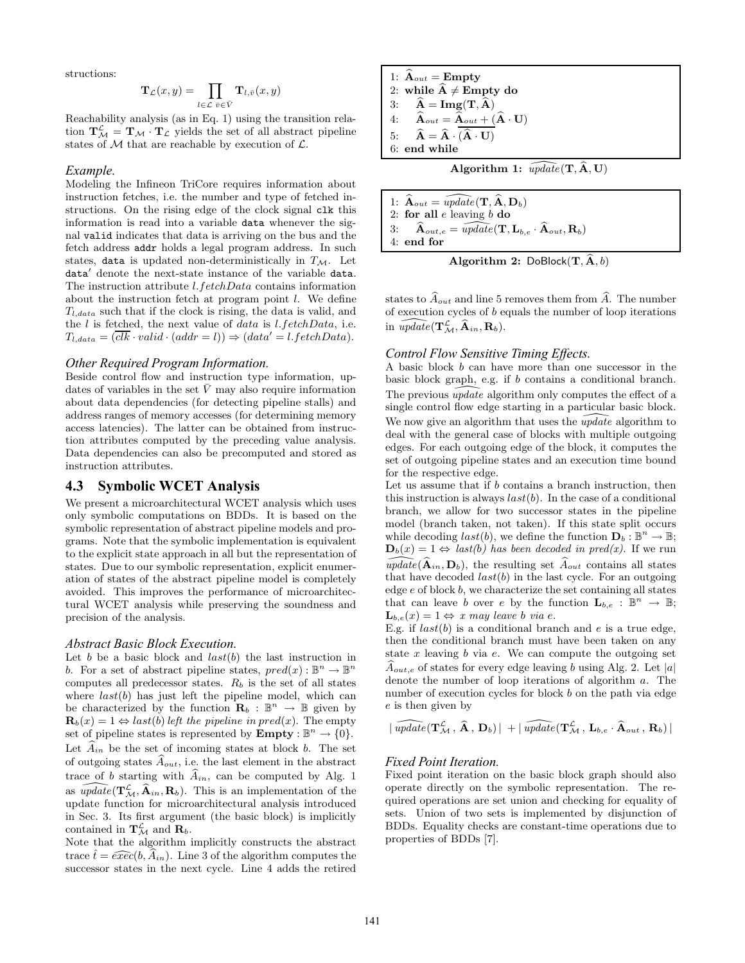structions:

$$
\mathbf{T}_{\mathcal{L}}(x,y)=\prod_{l\in\mathcal{L}}\prod_{\bar{v}\in\bar{V}}\mathbf{T}_{l,\bar{v}}(x,y)
$$

Reachability analysis (as in Eq. 1) using the transition relation  $\mathbf{T}_{\mathcal{M}}^{\mathcal{L}} = \mathbf{T}_{\mathcal{M}} \cdot \mathbf{T}_{\mathcal{L}}$  yields the set of all abstract pipeline states of  $M$  that are reachable by execution of  $\mathcal{L}$ .

#### *Example.*

Modeling the Infineon TriCore requires information about instruction fetches, i.e. the number and type of fetched instructions. On the rising edge of the clock signal clk this information is read into a variable data whenever the signal valid indicates that data is arriving on the bus and the fetch address addr holds a legal program address. In such states, data is updated non-deterministically in  $T_M$ . Let data′ denote the next-state instance of the variable data. The instruction attribute l.fetchData contains information about the instruction fetch at program point  $l$ . We define  $T_{l.data}$  such that if the clock is rising, the data is valid, and the  $l$  is fetched, the next value of data is  $l.fetchData$ , i.e.  $T_{l.data} = (\overline{clk} \cdot valid \cdot (addr = l)) \Rightarrow (data' = l.fetchData).$ 

#### *Other Required Program Information.*

Beside control flow and instruction type information, updates of variables in the set  $\bar{V}$  may also require information about data dependencies (for detecting pipeline stalls) and address ranges of memory accesses (for determining memory access latencies). The latter can be obtained from instruction attributes computed by the preceding value analysis. Data dependencies can also be precomputed and stored as instruction attributes.

## **4.3 Symbolic WCET Analysis**

We present a microarchitectural WCET analysis which uses only symbolic computations on BDDs. It is based on the symbolic representation of abstract pipeline models and programs. Note that the symbolic implementation is equivalent to the explicit state approach in all but the representation of states. Due to our symbolic representation, explicit enumeration of states of the abstract pipeline model is completely avoided. This improves the performance of microarchitectural WCET analysis while preserving the soundness and precision of the analysis.

#### *Abstract Basic Block Execution.*

Let b be a basic block and  $last(b)$  the last instruction in b. For a set of abstract pipeline states,  $pred(x): \mathbb{B}^n \to \mathbb{B}^n$ computes all predecessor states.  $R_b$  is the set of all states where  $last(b)$  has just left the pipeline model, which can be characterized by the function  $\mathbf{R}_b : \mathbb{B}^n \to \mathbb{B}$  given by  $\mathbf{R}_b(x) = 1 \Leftrightarrow last(b)$  *left the pipeline in pred(x)*. The empty set of pipeline states is represented by  $\text{Empty}: \mathbb{B}^n \to \{0\}.$ Let  $\widehat{A}_{in}$  be the set of incoming states at block b. The set of outgoing states  $\widehat{A}_{out}$ , i.e. the last element in the abstract trace of b starting with  $\widehat{A}_{in}$ , can be computed by Alg. 1 as  $\widehat{update}(\mathbf{T}^{\mathcal{L}}_{\mathcal{M}}, \widehat{\mathbf{A}}_{in}, \mathbf{R}_b)$ . This is an implementation of the update function for microarchitectural analysis introduced in Sec. 3. Its first argument (the basic block) is implicitly contained in  $\mathbf{T}_{\mathcal{M}}^{\mathcal{L}}$  and  $\mathbf{R}_{b}$ .

Note that the algorithm implicitly constructs the abstract trace  $\hat{t} = \widehat{exec}(b, \widehat{A}_{in})$ . Line 3 of the algorithm computes the successor states in the next cycle. Line 4 adds the retired

1: 
$$
\mathbf{A}_{out} = \text{Empty}
$$
  
\n2: while  $\hat{\mathbf{A}} \neq \text{Empty do}$   
\n3:  $\hat{\mathbf{A}} = \text{Img}(\mathbf{T}, \hat{\mathbf{A}})$   
\n4:  $\hat{\mathbf{A}}_{out} = \hat{\mathbf{A}}_{out} + (\hat{\mathbf{A}} \cdot \mathbf{U})$   
\n5:  $\hat{\mathbf{A}} = \hat{\mathbf{A}} \cdot (\hat{\mathbf{A}} \cdot \mathbf{U})$   
\n6: end while

Algorithm 1:  $\widehat{update}(\mathbf{T}, \widehat{\mathbf{A}}, \mathbf{U})$ 

1:  $\mathbf{A}_{out} = \overline{update}(\mathbf{T}, \hat{\mathbf{A}}, \mathbf{D}_b)$ <br>2: for all *e* leaving *b* do for all  $e$  leaving  $b$  do 3:  $\hat{\mathbf{A}}_{out,e} = \widehat{update}(\mathbf{T}, \mathbf{L}_{b,e} \cdot \widehat{\mathbf{A}}_{out}, \mathbf{R}_b)$ 4: end for

Algorithm 2:  $DoBlock(T, \hat{A}, b)$ 

states to  $\widehat{A}_{out}$  and line 5 removes them from  $\widehat{A}$ . The number of execution cycles of b equals the number of loop iterations in  $\widehat{update}(\mathbf{T}^{\mathcal{L}}_{\mathcal{M}}, \widehat{\mathbf{A}}_{in}, \mathbf{R}_b).$ 

### *Control Flow Sensitive Timing Effects.*

A basic block b can have more than one successor in the basic block graph, e.g. if b contains a conditional branch. The previous  $\widehat{update}$  algorithm only computes the effect of a single control flow edge starting in a particular basic block. We now give an algorithm that uses the *update* algorithm to deal with the general case of blocks with multiple outgoing edges. For each outgoing edge of the block, it computes the set of outgoing pipeline states and an execution time bound for the respective edge.

Let us assume that if b contains a branch instruction, then this instruction is always  $last(b)$ . In the case of a conditional branch, we allow for two successor states in the pipeline model (branch taken, not taken). If this state split occurs while decoding  $last(b)$ , we define the function  $\mathbf{D}_b : \mathbb{B}^n \to \mathbb{B}$ ;  $\mathbf{D}_b(x) = 1 \Leftrightarrow last(b)$  has been decoded in pred(x). If we run  $\widehat{update}(\widehat{\mathbf{A}}_{in}, \mathbf{D}_b)$ , the resulting set  $\widehat{A}_{out}$  contains all states that have decoded  $last(b)$  in the last cycle. For an outgoing edge e of block b, we characterize the set containing all states that can leave b over e by the function  $\mathbf{L}_{b,e} : \mathbb{B}^n \to \mathbb{B}$ ;  $\mathbf{L}_{b,e}(x) = 1 \Leftrightarrow x \; may \; leave \; b \; via \; e.$ 

E.g. if  $last(b)$  is a conditional branch and e is a true edge, then the conditional branch must have been taken on any state  $x$  leaving  $b$  via  $e$ . We can compute the outgoing set  $\widehat{A}_{out,e}$  of states for every edge leaving b using Alg. 2. Let |a| denote the number of loop iterations of algorithm a. The number of execution cycles for block b on the path via edge e is then given by

$$
\mid \widehat{\textit{update}}(\mathbf{T}^{\mathcal{L}}_{\mathcal{M}}, \, \widehat{\mathbf{A}} \, , \, \mathbf{D}_b) \, \vert \ + \mid \widehat{\textit{update}}(\mathbf{T}^{\mathcal{L}}_{\mathcal{M}} \, , \, \mathbf{L}_{b,e} \cdot \widehat{\mathbf{A}}_{\textit{out}} \, , \, \mathbf{R}_b) \, \vert \,
$$

#### *Fixed Point Iteration.*

Fixed point iteration on the basic block graph should also operate directly on the symbolic representation. The required operations are set union and checking for equality of sets. Union of two sets is implemented by disjunction of BDDs. Equality checks are constant-time operations due to properties of BDDs [7].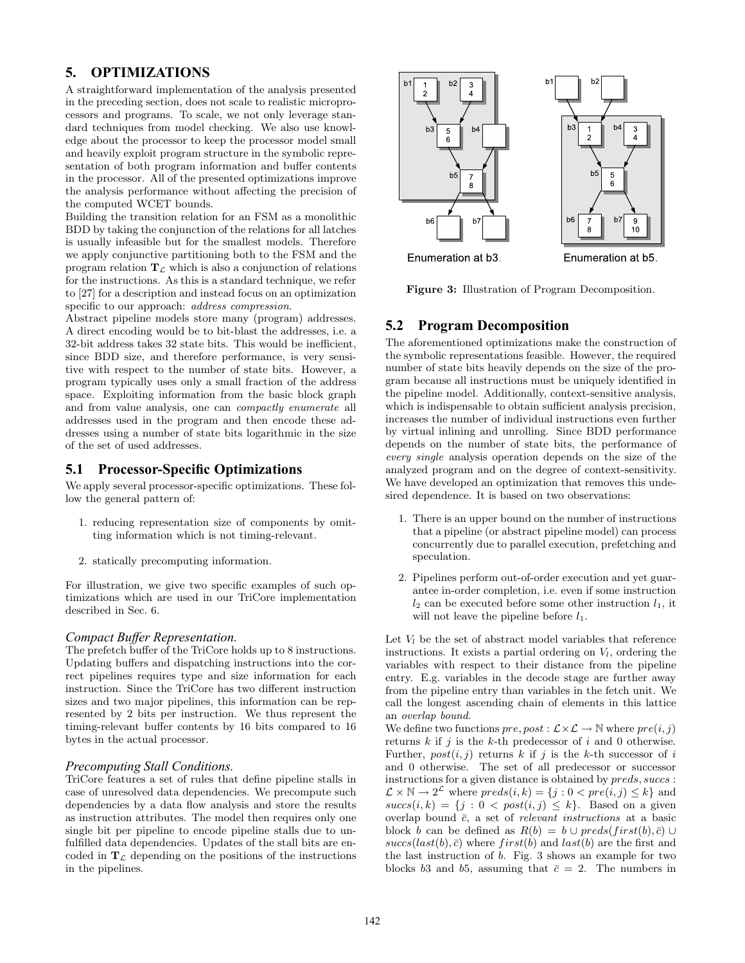# **5. OPTIMIZATIONS**

A straightforward implementation of the analysis presented in the preceding section, does not scale to realistic microprocessors and programs. To scale, we not only leverage standard techniques from model checking. We also use knowledge about the processor to keep the processor model small and heavily exploit program structure in the symbolic representation of both program information and buffer contents in the processor. All of the presented optimizations improve the analysis performance without affecting the precision of the computed WCET bounds.

Building the transition relation for an FSM as a monolithic BDD by taking the conjunction of the relations for all latches is usually infeasible but for the smallest models. Therefore we apply conjunctive partitioning both to the FSM and the program relation  $\mathbf{T}_{\mathcal{L}}$  which is also a conjunction of relations for the instructions. As this is a standard technique, we refer to [27] for a description and instead focus on an optimization specific to our approach: *address compression*.

Abstract pipeline models store many (program) addresses. A direct encoding would be to bit-blast the addresses, i.e. a 32-bit address takes 32 state bits. This would be inefficient, since BDD size, and therefore performance, is very sensitive with respect to the number of state bits. However, a program typically uses only a small fraction of the address space. Exploiting information from the basic block graph and from value analysis, one can *compactly enumerate* all addresses used in the program and then encode these addresses using a number of state bits logarithmic in the size of the set of used addresses.

# **5.1 Processor-Specific Optimizations**

We apply several processor-specific optimizations. These follow the general pattern of:

- 1. reducing representation size of components by omitting information which is not timing-relevant.
- 2. statically precomputing information.

For illustration, we give two specific examples of such optimizations which are used in our TriCore implementation described in Sec. 6.

### *Compact Buffer Representation.*

The prefetch buffer of the TriCore holds up to 8 instructions. Updating buffers and dispatching instructions into the correct pipelines requires type and size information for each instruction. Since the TriCore has two different instruction sizes and two major pipelines, this information can be represented by 2 bits per instruction. We thus represent the timing-relevant buffer contents by 16 bits compared to 16 bytes in the actual processor.

### *Precomputing Stall Conditions.*

TriCore features a set of rules that define pipeline stalls in case of unresolved data dependencies. We precompute such dependencies by a data flow analysis and store the results as instruction attributes. The model then requires only one single bit per pipeline to encode pipeline stalls due to unfulfilled data dependencies. Updates of the stall bits are encoded in  $T_{\mathcal{L}}$  depending on the positions of the instructions in the pipelines.



Figure 3: Illustration of Program Decomposition.

# **5.2 Program Decomposition**

The aforementioned optimizations make the construction of the symbolic representations feasible. However, the required number of state bits heavily depends on the size of the program because all instructions must be uniquely identified in the pipeline model. Additionally, context-sensitive analysis, which is indispensable to obtain sufficient analysis precision, increases the number of individual instructions even further by virtual inlining and unrolling. Since BDD performance depends on the number of state bits, the performance of *every single* analysis operation depends on the size of the analyzed program and on the degree of context-sensitivity. We have developed an optimization that removes this undesired dependence. It is based on two observations:

- 1. There is an upper bound on the number of instructions that a pipeline (or abstract pipeline model) can process concurrently due to parallel execution, prefetching and speculation.
- 2. Pipelines perform out-of-order execution and yet guarantee in-order completion, i.e. even if some instruction  $l_2$  can be executed before some other instruction  $l_1$ , it will not leave the pipeline before  $l_1$ .

Let  $V_l$  be the set of abstract model variables that reference instructions. It exists a partial ordering on  $V_l$ , ordering the variables with respect to their distance from the pipeline entry. E.g. variables in the decode stage are further away from the pipeline entry than variables in the fetch unit. We call the longest ascending chain of elements in this lattice an *overlap bound*.

We define two functions  $pre, post : \mathcal{L} \times \mathcal{L} \rightarrow \mathbb{N}$  where  $pre(i, j)$ returns  $k$  if  $j$  is the  $k$ -th predecessor of  $i$  and 0 otherwise. Further,  $post(i, j)$  returns k if j is the k-th successor of i and 0 otherwise. The set of all predecessor or successor instructions for a given distance is obtained by  $preds, success:$  $\mathcal{L} \times \mathbb{N} \to 2^{\mathcal{L}}$  where  $preds(i,k) = \{j : 0 < pre(i,j) \leq k\}$  and  $succs(i, k) = \{j : 0 < post(i, j) \leq k\}.$  Based on a given overlap bound  $\bar{c}$ , a set of *relevant instructions* at a basic block b can be defined as  $R(b) = b \cup preds(first(b), \bar{c}) \cup$  $succs(last(b), \bar{c})$  where  $first(b)$  and  $last(b)$  are the first and the last instruction of b. Fig. 3 shows an example for two blocks b3 and b5, assuming that  $\bar{c} = 2$ . The numbers in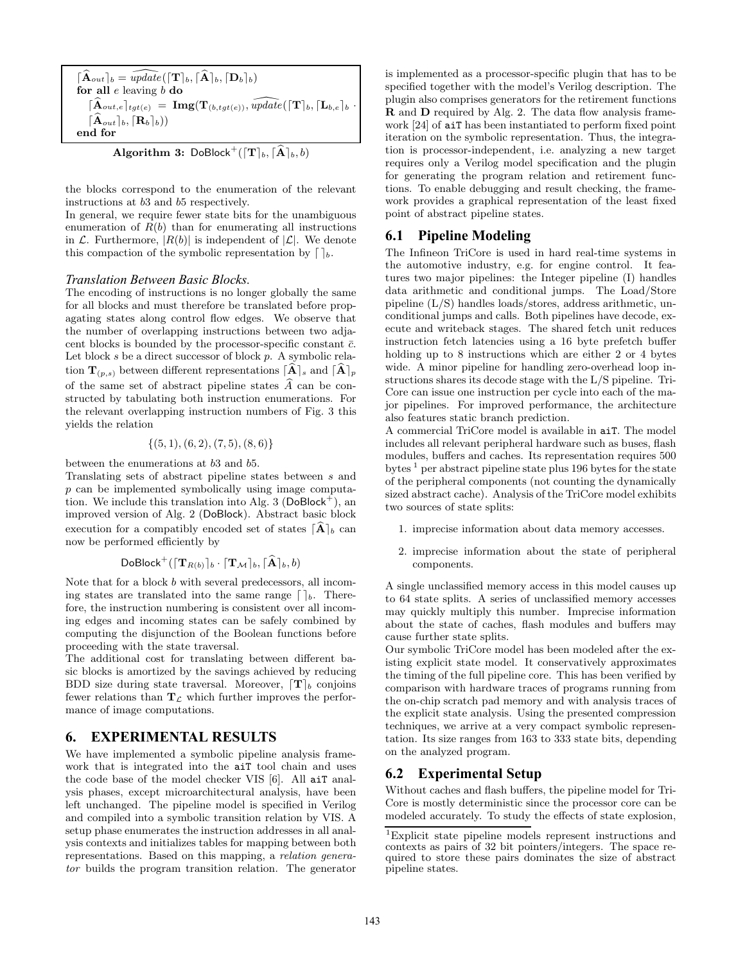$[\widehat{\mathbf{A}}_{out}]_b = \widehat{update}(\{\mathbf{T}\}_b, \{\widehat{\mathbf{A}}\}_b, \{\mathbf{D}_b\}_b)$ for all  $e$  leaving  $b$  do  $\lceil \mathbf{A}_{out,e} \rceil_{tgt(e)} = \mathbf{Img}(\mathbf{T}_{(b,tgt(e))}, \widetilde{update}(\lceil \mathbf{T} \rceil_b, \lceil \mathbf{L}_{b,e} \rceil_b$  $\lceil \widehat{\mathbf{A}}_{out} \rceil_b, \lceil \mathbf{R}_b \rceil_b)$ end for

**Algorithm 3:** DoBlock<sup>+</sup>
$$
({\lceil \mathbf{T} \rceil}_{b}, {\lceil \mathbf{\hat{A}} \rceil}_{b}, b)
$$

the blocks correspond to the enumeration of the relevant instructions at b3 and b5 respectively.

In general, we require fewer state bits for the unambiguous enumeration of  $R(b)$  than for enumerating all instructions in  $\mathcal{L}$ . Furthermore,  $|R(b)|$  is independent of  $|\mathcal{L}|$ . We denote this compaction of the symbolic representation by  $\lceil \cdot \rceil_b$ .

#### *Translation Between Basic Blocks.*

The encoding of instructions is no longer globally the same for all blocks and must therefore be translated before propagating states along control flow edges. We observe that the number of overlapping instructions between two adjacent blocks is bounded by the processor-specific constant  $\bar{c}$ . Let block  $s$  be a direct successor of block  $p$ . A symbolic relation  $\mathbf{T}_{(p,s)}$  between different representations  $\lceil \widehat{A} \rceil_s$  and  $\lceil \widehat{A} \rceil_p$ of the same set of abstract pipeline states  $\widehat{A}$  can be constructed by tabulating both instruction enumerations. For the relevant overlapping instruction numbers of Fig. 3 this yields the relation

$$
\{(5,1),(6,2),(7,5),(8,6)\}
$$

between the enumerations at b3 and b5.

Translating sets of abstract pipeline states between s and  $p$  can be implemented symbolically using image computation. We include this translation into Alg. 3 ( $DoBlock<sup>+</sup>$ ), an improved version of Alg. 2 (DoBlock). Abstract basic block execution for a compatibly encoded set of states  $\lceil \hat{A} \rceil_b$  can now be performed efficiently by

$$
\mathsf{DoBlock}^+(\lceil \mathbf{T}_{R(b)} \rceil_b \cdot \lceil \mathbf{T}_{\mathcal{M}} \rceil_b, \lceil \widehat{\mathbf{A}} \rceil_b, b)
$$

Note that for a block b with several predecessors, all incoming states are translated into the same range  $\lceil \cdot \rceil_b$ . Therefore, the instruction numbering is consistent over all incoming edges and incoming states can be safely combined by computing the disjunction of the Boolean functions before proceeding with the state traversal.

The additional cost for translating between different basic blocks is amortized by the savings achieved by reducing BDD size during state traversal. Moreover,  $\mathbf{T}|_b$  conjoins fewer relations than  $T_{\mathcal{L}}$  which further improves the performance of image computations.

### **6. EXPERIMENTAL RESULTS**

We have implemented a symbolic pipeline analysis framework that is integrated into the aiT tool chain and uses the code base of the model checker VIS [6]. All aiT analysis phases, except microarchitectural analysis, have been left unchanged. The pipeline model is specified in Verilog and compiled into a symbolic transition relation by VIS. A setup phase enumerates the instruction addresses in all analysis contexts and initializes tables for mapping between both representations. Based on this mapping, a *relation generator* builds the program transition relation. The generator

is implemented as a processor-specific plugin that has to be specified together with the model's Verilog description. The plugin also comprises generators for the retirement functions R and D required by Alg. 2. The data flow analysis framework [24] of aiT has been instantiated to perform fixed point iteration on the symbolic representation. Thus, the integration is processor-independent, i.e. analyzing a new target requires only a Verilog model specification and the plugin for generating the program relation and retirement functions. To enable debugging and result checking, the framework provides a graphical representation of the least fixed point of abstract pipeline states.

### **6.1 Pipeline Modeling**

The Infineon TriCore is used in hard real-time systems in the automotive industry, e.g. for engine control. It features two major pipelines: the Integer pipeline (I) handles data arithmetic and conditional jumps. The Load/Store pipeline (L/S) handles loads/stores, address arithmetic, unconditional jumps and calls. Both pipelines have decode, execute and writeback stages. The shared fetch unit reduces instruction fetch latencies using a 16 byte prefetch buffer holding up to 8 instructions which are either 2 or 4 bytes wide. A minor pipeline for handling zero-overhead loop instructions shares its decode stage with the L/S pipeline. Tri-Core can issue one instruction per cycle into each of the major pipelines. For improved performance, the architecture also features static branch prediction.

A commercial TriCore model is available in aiT. The model includes all relevant peripheral hardware such as buses, flash modules, buffers and caches. Its representation requires 500 bytes  $<sup>1</sup>$  per abstract pipeline state plus 196 bytes for the state</sup> of the peripheral components (not counting the dynamically sized abstract cache). Analysis of the TriCore model exhibits two sources of state splits:

- 1. imprecise information about data memory accesses.
- 2. imprecise information about the state of peripheral components.

A single unclassified memory access in this model causes up to 64 state splits. A series of unclassified memory accesses may quickly multiply this number. Imprecise information about the state of caches, flash modules and buffers may cause further state splits.

Our symbolic TriCore model has been modeled after the existing explicit state model. It conservatively approximates the timing of the full pipeline core. This has been verified by comparison with hardware traces of programs running from the on-chip scratch pad memory and with analysis traces of the explicit state analysis. Using the presented compression techniques, we arrive at a very compact symbolic representation. Its size ranges from 163 to 333 state bits, depending on the analyzed program.

### **6.2 Experimental Setup**

Without caches and flash buffers, the pipeline model for Tri-Core is mostly deterministic since the processor core can be modeled accurately. To study the effects of state explosion,

<sup>1</sup>Explicit state pipeline models represent instructions and contexts as pairs of 32 bit pointers/integers. The space required to store these pairs dominates the size of abstract pipeline states.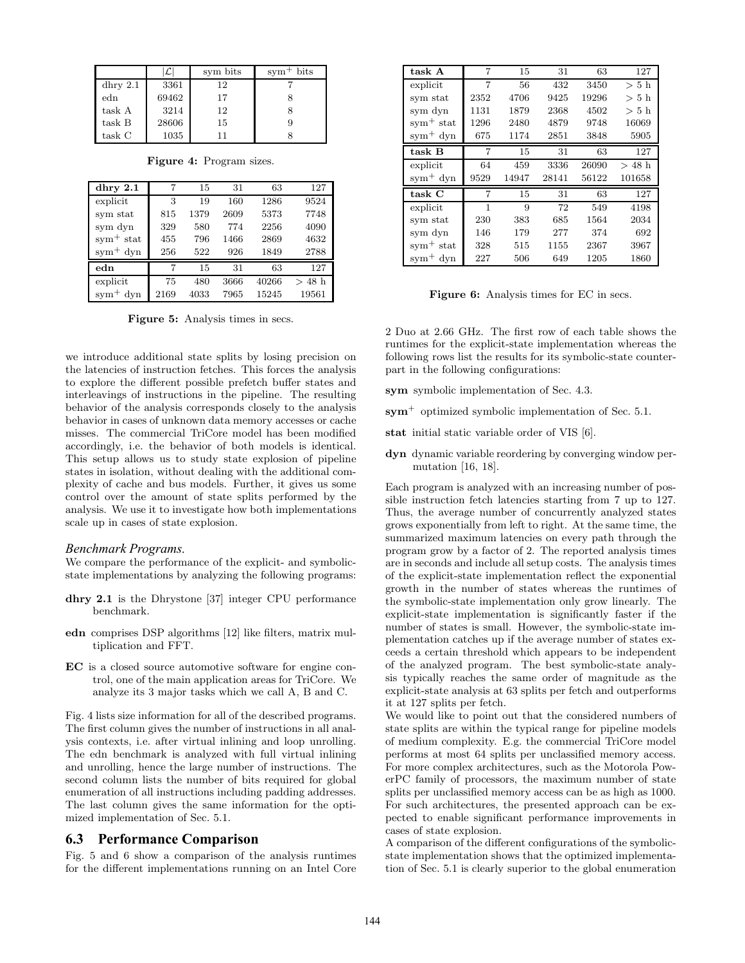|            | $\mathcal{L}$ l | sym bits | $sym+ bits$ |
|------------|-----------------|----------|-------------|
| dhry $2.1$ | 3361            | 12       |             |
| edn        | 69462           | 17       |             |
| task A     | 3214            | 12       |             |
| task B     | 28606           | 15       |             |
| task C     | 1035            |          |             |

Figure 4: Program sizes.

| dhry $2.1$    | 7    | 15   | 31   | 63    | 127                                |
|---------------|------|------|------|-------|------------------------------------|
| explicit      | 3    | 19   | 160  | 1286  | 9524                               |
| sym stat      | 815  | 1379 | 2609 | 5373  | 7748                               |
| sym dyn       | 329  | 580  | 774  | 2256  | 4090                               |
| $sym^+$ stat  | 455  | 796  | 1466 | 2869  | 4632                               |
| $sym^{+}$ dyn | 256  | 522  | 926  | 1849  | 2788                               |
| edn           | 7    | 15   | 31   | 63    | 127                                |
| explicit      | 75   | 480  | 3666 | 40266 | 48h<br>$\scriptscriptstyle\diagup$ |
| $sym^{+}$ dyn | 2169 | 4033 | 7965 | 15245 | 19561                              |

Figure 5: Analysis times in secs.

we introduce additional state splits by losing precision on the latencies of instruction fetches. This forces the analysis to explore the different possible prefetch buffer states and interleavings of instructions in the pipeline. The resulting behavior of the analysis corresponds closely to the analysis behavior in cases of unknown data memory accesses or cache misses. The commercial TriCore model has been modified accordingly, i.e. the behavior of both models is identical. This setup allows us to study state explosion of pipeline states in isolation, without dealing with the additional complexity of cache and bus models. Further, it gives us some control over the amount of state splits performed by the analysis. We use it to investigate how both implementations scale up in cases of state explosion.

#### *Benchmark Programs.*

We compare the performance of the explicit- and symbolicstate implementations by analyzing the following programs:

- dhry 2.1 is the Dhrystone [37] integer CPU performance benchmark.
- edn comprises DSP algorithms [12] like filters, matrix multiplication and FFT.
- EC is a closed source automotive software for engine control, one of the main application areas for TriCore. We analyze its 3 major tasks which we call A, B and C.

Fig. 4 lists size information for all of the described programs. The first column gives the number of instructions in all analysis contexts, i.e. after virtual inlining and loop unrolling. The edn benchmark is analyzed with full virtual inlining and unrolling, hence the large number of instructions. The second column lists the number of bits required for global enumeration of all instructions including padding addresses. The last column gives the same information for the optimized implementation of Sec. 5.1.

#### **6.3 Performance Comparison**

Fig. 5 and 6 show a comparison of the analysis runtimes for the different implementations running on an Intel Core

| task A       | 7    | 15    | 31    | 63    | 127             |
|--------------|------|-------|-------|-------|-----------------|
| explicit     | 7    | 56    | 432   | 3450  | > 5h            |
| sym stat     | 2352 | 4706  | 9425  | 19296 | $> 5 \; \rm{h}$ |
| sym dyn      | 1131 | 1879  | 2368  | 4502  | $> 5 \; \rm{h}$ |
| $sym^+$ stat | 1296 | 2480  | 4879  | 9748  | 16069           |
| $sym^+$ dyn  | 675  | 1174  | 2851  | 3848  | 5905            |
| task B       | 7    | 15    | 31    | 63    | 127             |
| explicit     | 64   | 459   | 3336  | 26090 | $>48$ h         |
| $sym^+$ dyn  | 9529 | 14947 | 28141 | 56122 | 101658          |
| task C       | 7    | 15    | 31    | 63    | 127             |
| explicit     | 1    | 9     | 72    | 549   | 4198            |
| sym stat     | 230  | 383   | 685   | 1564  | 2034            |
| sym dyn      | 146  | 179   | 277   | 374   | 692             |
| $sym^+$ stat | 328  | 515   | 1155  | 2367  | 3967            |
| $sym^+$ dyn  | 227  | 506   | 649   | 1205  | 1860            |

Figure 6: Analysis times for EC in secs.

2 Duo at 2.66 GHz. The first row of each table shows the runtimes for the explicit-state implementation whereas the following rows list the results for its symbolic-state counterpart in the following configurations:

- sym symbolic implementation of Sec. 4.3.
- $sym<sup>+</sup>$  optimized symbolic implementation of Sec. 5.1.
- stat initial static variable order of VIS [6].
- dyn dynamic variable reordering by converging window permutation [16, 18].

Each program is analyzed with an increasing number of possible instruction fetch latencies starting from 7 up to 127. Thus, the average number of concurrently analyzed states grows exponentially from left to right. At the same time, the summarized maximum latencies on every path through the program grow by a factor of 2. The reported analysis times are in seconds and include all setup costs. The analysis times of the explicit-state implementation reflect the exponential growth in the number of states whereas the runtimes of the symbolic-state implementation only grow linearly. The explicit-state implementation is significantly faster if the number of states is small. However, the symbolic-state implementation catches up if the average number of states exceeds a certain threshold which appears to be independent of the analyzed program. The best symbolic-state analysis typically reaches the same order of magnitude as the explicit-state analysis at 63 splits per fetch and outperforms it at 127 splits per fetch.

We would like to point out that the considered numbers of state splits are within the typical range for pipeline models of medium complexity. E.g. the commercial TriCore model performs at most 64 splits per unclassified memory access. For more complex architectures, such as the Motorola PowerPC family of processors, the maximum number of state splits per unclassified memory access can be as high as 1000. For such architectures, the presented approach can be expected to enable significant performance improvements in cases of state explosion.

A comparison of the different configurations of the symbolicstate implementation shows that the optimized implementation of Sec. 5.1 is clearly superior to the global enumeration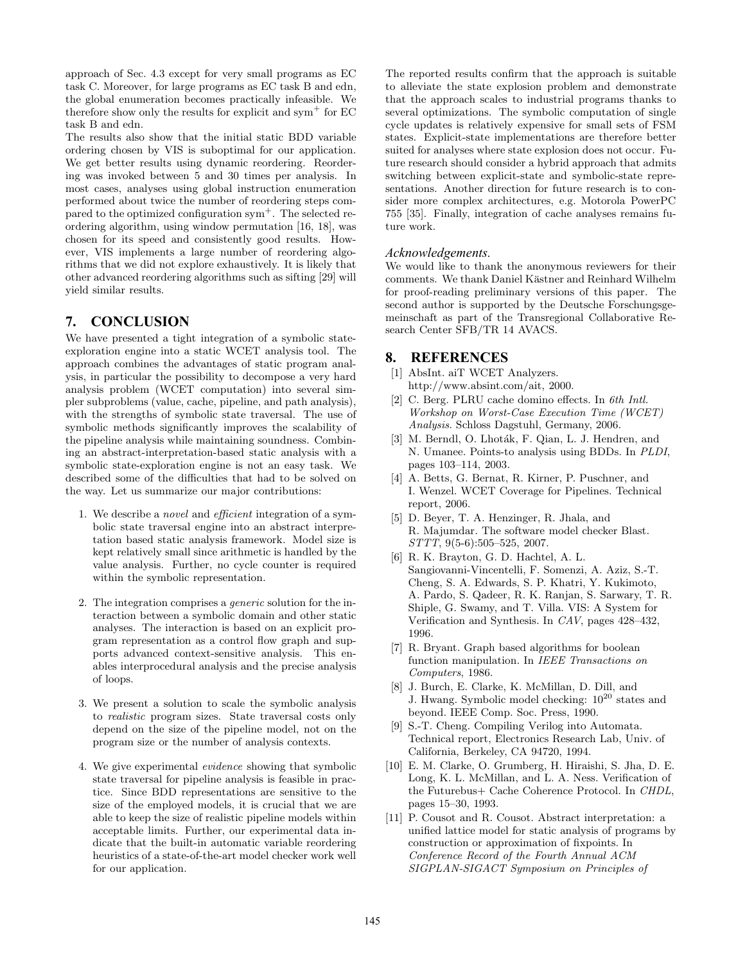approach of Sec. 4.3 except for very small programs as EC task C. Moreover, for large programs as EC task B and edn, the global enumeration becomes practically infeasible. We therefore show only the results for explicit and sym<sup>+</sup> for  $EC$ task B and edn.

The results also show that the initial static BDD variable ordering chosen by VIS is suboptimal for our application. We get better results using dynamic reordering. Reordering was invoked between 5 and 30 times per analysis. In most cases, analyses using global instruction enumeration performed about twice the number of reordering steps compared to the optimized configuration sym<sup>+</sup>. The selected reordering algorithm, using window permutation [16, 18], was chosen for its speed and consistently good results. However, VIS implements a large number of reordering algorithms that we did not explore exhaustively. It is likely that other advanced reordering algorithms such as sifting [29] will yield similar results.

# **7. CONCLUSION**

We have presented a tight integration of a symbolic stateexploration engine into a static WCET analysis tool. The approach combines the advantages of static program analysis, in particular the possibility to decompose a very hard analysis problem (WCET computation) into several simpler subproblems (value, cache, pipeline, and path analysis), with the strengths of symbolic state traversal. The use of symbolic methods significantly improves the scalability of the pipeline analysis while maintaining soundness. Combining an abstract-interpretation-based static analysis with a symbolic state-exploration engine is not an easy task. We described some of the difficulties that had to be solved on the way. Let us summarize our major contributions:

- 1. We describe a *novel* and *efficient* integration of a symbolic state traversal engine into an abstract interpretation based static analysis framework. Model size is kept relatively small since arithmetic is handled by the value analysis. Further, no cycle counter is required within the symbolic representation.
- 2. The integration comprises a *generic* solution for the interaction between a symbolic domain and other static analyses. The interaction is based on an explicit program representation as a control flow graph and supports advanced context-sensitive analysis. This enables interprocedural analysis and the precise analysis of loops.
- 3. We present a solution to scale the symbolic analysis to *realistic* program sizes. State traversal costs only depend on the size of the pipeline model, not on the program size or the number of analysis contexts.
- 4. We give experimental *evidence* showing that symbolic state traversal for pipeline analysis is feasible in practice. Since BDD representations are sensitive to the size of the employed models, it is crucial that we are able to keep the size of realistic pipeline models within acceptable limits. Further, our experimental data indicate that the built-in automatic variable reordering heuristics of a state-of-the-art model checker work well for our application.

The reported results confirm that the approach is suitable to alleviate the state explosion problem and demonstrate that the approach scales to industrial programs thanks to several optimizations. The symbolic computation of single cycle updates is relatively expensive for small sets of FSM states. Explicit-state implementations are therefore better suited for analyses where state explosion does not occur. Future research should consider a hybrid approach that admits switching between explicit-state and symbolic-state representations. Another direction for future research is to consider more complex architectures, e.g. Motorola PowerPC 755 [35]. Finally, integration of cache analyses remains future work.

#### *Acknowledgements.*

We would like to thank the anonymous reviewers for their comments. We thank Daniel Kästner and Reinhard Wilhelm for proof-reading preliminary versions of this paper. The second author is supported by the Deutsche Forschungsgemeinschaft as part of the Transregional Collaborative Research Center SFB/TR 14 AVACS.

### **8. REFERENCES**

- [1] AbsInt. aiT WCET Analyzers. http://www.absint.com/ait, 2000.
- [2] C. Berg. PLRU cache domino effects. In *6th Intl. Workshop on Worst-Case Execution Time (WCET) Analysis*. Schloss Dagstuhl, Germany, 2006.
- [3] M. Berndl, O. Lhoták, F. Qian, L. J. Hendren, and N. Umanee. Points-to analysis using BDDs. In *PLDI*, pages 103–114, 2003.
- [4] A. Betts, G. Bernat, R. Kirner, P. Puschner, and I. Wenzel. WCET Coverage for Pipelines. Technical report, 2006.
- [5] D. Beyer, T. A. Henzinger, R. Jhala, and R. Majumdar. The software model checker Blast. *STTT*, 9(5-6):505–525, 2007.
- [6] R. K. Brayton, G. D. Hachtel, A. L. Sangiovanni-Vincentelli, F. Somenzi, A. Aziz, S.-T. Cheng, S. A. Edwards, S. P. Khatri, Y. Kukimoto, A. Pardo, S. Qadeer, R. K. Ranjan, S. Sarwary, T. R. Shiple, G. Swamy, and T. Villa. VIS: A System for Verification and Synthesis. In *CAV*, pages 428–432, 1996.
- [7] R. Bryant. Graph based algorithms for boolean function manipulation. In *IEEE Transactions on Computers*, 1986.
- [8] J. Burch, E. Clarke, K. McMillan, D. Dill, and J. Hwang. Symbolic model checking:  $10^{20}$  states and beyond. IEEE Comp. Soc. Press, 1990.
- [9] S.-T. Cheng. Compiling Verilog into Automata. Technical report, Electronics Research Lab, Univ. of California, Berkeley, CA 94720, 1994.
- [10] E. M. Clarke, O. Grumberg, H. Hiraishi, S. Jha, D. E. Long, K. L. McMillan, and L. A. Ness. Verification of the Futurebus+ Cache Coherence Protocol. In *CHDL*, pages 15–30, 1993.
- [11] P. Cousot and R. Cousot. Abstract interpretation: a unified lattice model for static analysis of programs by construction or approximation of fixpoints. In *Conference Record of the Fourth Annual ACM SIGPLAN-SIGACT Symposium on Principles of*